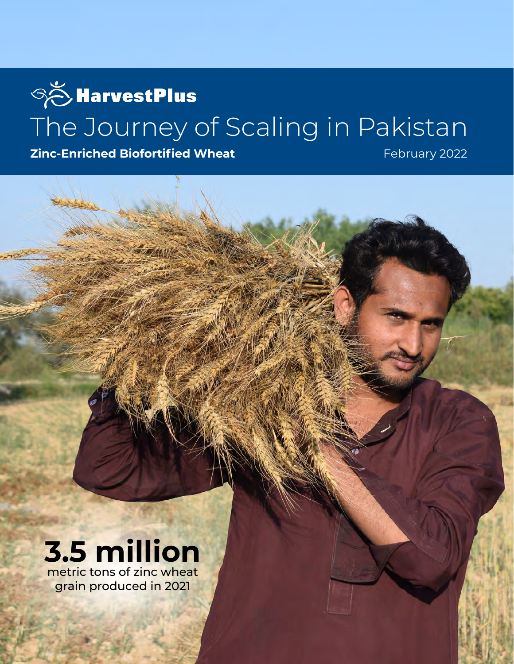# **SO HarvestPlus** The Journey of Scaling in Pakistan

**Zinc-Enriched Biofortified Wheat** 

February 2022

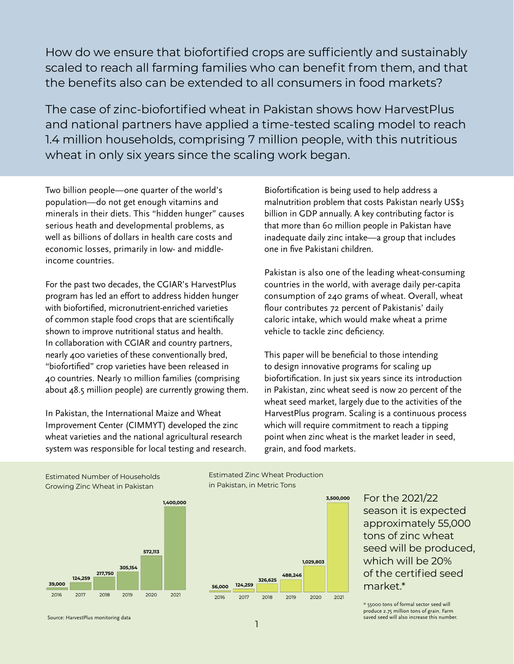How do we ensure that biofortified crops are sufficiently and sustainably scaled to reach all farming families who can benefit from them, and that the benefits also can be extended to all consumers in food markets?

The case of zinc-biofortified wheat in Pakistan shows how HarvestPlus and national partners have applied a time-tested scaling model to reach 1.4 million households, comprising 7 million people, with this nutritious wheat in only six years since the scaling work began.

Two billion people—one quarter of the world's population—do not get enough vitamins and minerals in their diets. This "hidden hunger" causes serious heath and developmental problems, as well as billions of dollars in health care costs and economic losses, primarily in low- and middleincome countries.

For the past two decades, the CGIAR's HarvestPlus program has led an effort to address hidden hunger with biofortified, micronutrient-enriched varieties of common staple food crops that are scientifically shown to improve nutritional status and health. In collaboration with CGIAR and country partners, nearly 400 varieties of these conventionally bred, "biofortified" crop varieties have been released in 40 countries. Nearly 10 million families (comprising about 48.5 million people) are currently growing them.

In Pakistan, the International Maize and Wheat Improvement Center (CIMMYT) developed the zinc wheat varieties and the national agricultural research system was responsible for local testing and research. **124,259**

Biofortification is being used to help address a malnutrition problem that costs Pakistan nearly US\$3 billion in GDP annually. A key contributing factor is that more than 60 million people in Pakistan have inadequate daily zinc intake—a group that includes one in five Pakistani children.

Pakistan is also one of the leading wheat-consuming countries in the world, with average daily per-capita consumption of 240 grams of wheat. Overall, wheat flour contributes 72 percent of Pakistanis' daily caloric intake, which would make wheat a prime vehicle to tackle zinc deficiency.

This paper will be beneficial to those intending to design innovative programs for scaling up biofortification. In just six years since its introduction **1,400,000**  in Pakistan, zinc wheat seed is now 20 percent of the wheat seed market, largely due to the activities of the HarvestPlus program. Scaling is a continuous process which will require commitment to reach a tipping **572,113** point when zinc wheat is the market leader in seed, **305,154** grain, and food markets.

Estimated Number of Households Growing Zinc Wheat in Pakistan



Estimated Zinc Wheat Production in Pakistan, in Metric Tons



For the 2021/22 season it is expected approximately 55,000 tons of zinc wheat seed will be produced, which will be 20% of the certified seed market.\*

\* 55000 tons of formal sector seed will produce 2.75 million tons of grain. Farm saved seed will also increase this number.

Source: HarvestPlus monitoring data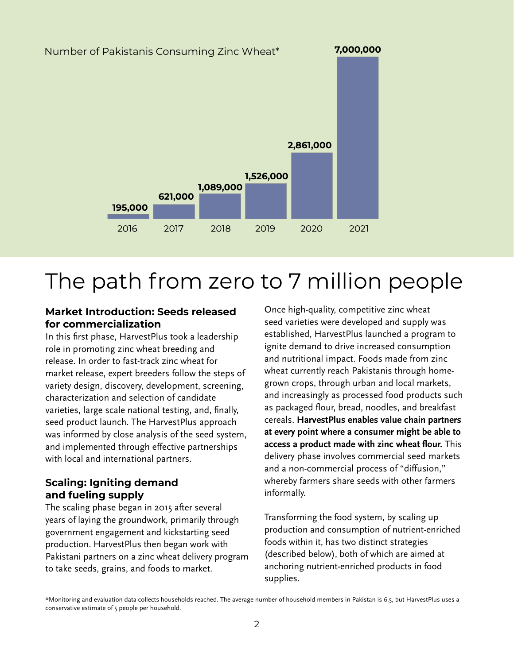

# The path from zero to 7 million people

#### **Market Introduction: Seeds released for commercialization**

In this first phase, HarvestPlus took a leadership role in promoting zinc wheat breeding and release. In order to fast-track zinc wheat for market release, expert breeders follow the steps of variety design, discovery, development, screening, characterization and selection of candidate varieties, large scale national testing, and, finally, seed product launch. The HarvestPlus approach was informed by close analysis of the seed system, and implemented through effective partnerships with local and international partners.

### **Scaling: Igniting demand and fueling supply**

The scaling phase began in 2015 after several years of laying the groundwork, primarily through government engagement and kickstarting seed production. HarvestPlus then began work with Pakistani partners on a zinc wheat delivery program to take seeds, grains, and foods to market.

Once high-quality, competitive zinc wheat seed varieties were developed and supply was established, HarvestPlus launched a program to ignite demand to drive increased consumption and nutritional impact. Foods made from zinc wheat currently reach Pakistanis through homegrown crops, through urban and local markets, and increasingly as processed food products such as packaged flour, bread, noodles, and breakfast cereals. **HarvestPlus enables value chain partners at every point where a consumer might be able to access a product made with zinc wheat flour.** This delivery phase involves commercial seed markets and a non-commercial process of "diffusion," whereby farmers share seeds with other farmers informally.

Transforming the food system, by scaling up production and consumption of nutrient-enriched foods within it, has two distinct strategies (described below), both of which are aimed at anchoring nutrient-enriched products in food supplies.

\*Monitoring and evaluation data collects households reached. The average number of household members in Pakistan is 6.5, but HarvestPlus uses a conservative estimate of 5 people per household.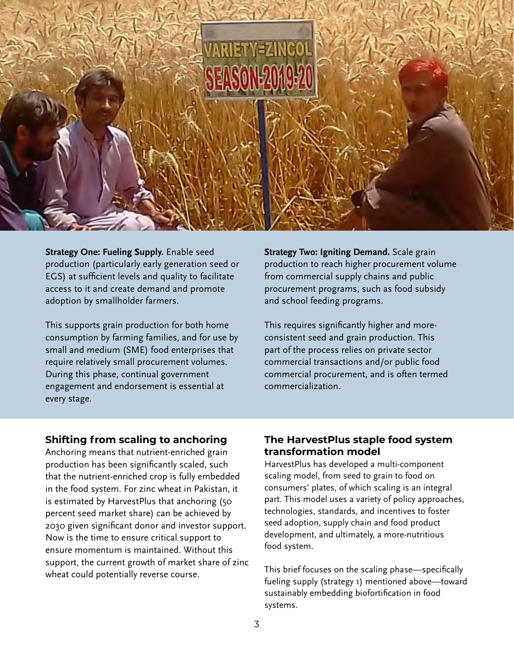

**Strategy One: Fueling Supply.** Enable seed production (particularly early generation seed or EGS) at sufficient levels and quality to facilitate access to it and create demand and promote adoption by smallholder farmers.

This supports grain production for both home consumption by farming families, and for use by small and medium (SME) food enterprises that require relatively small procurement volumes. During this phase, continual government engagement and endorsement is essential at every stage.

**Strategy Two: Igniting Demand.** Scale grain production to reach higher procurement volume from commercial supply chains and public procurement programs, such as food subsidy and school feeding programs.

This requires significantly higher and moreconsistent seed and grain production. This part of the process relies on private sector commercial transactions and/or public food commercial procurement, and is often termed commercialization.

#### **Shifting from scaling to anchoring**

Anchoring means that nutrient-enriched grain production has been significantly scaled, such that the nutrient-enriched crop is fully embedded in the food system. For zinc wheat in Pakistan, it is estimated by HarvestPlus that anchoring (50 percent seed market share) can be achieved by 2030 given significant donor and investor support. Now is the time to ensure critical support to ensure momentum is maintained. Without this support, the current growth of market share of zinc wheat could potentially reverse course.

#### **The HarvestPlus staple food system transformation model**

HarvestPlus has developed a multi-component scaling model, from seed to grain to food on consumers' plates, of which scaling is an integral part. This model uses a variety of policy approaches, technologies, standards, and incentives to foster seed adoption, supply chain and food product development, and ultimately, a more-nutritious food system.

This brief focuses on the scaling phase—specifically fueling supply (strategy 1) mentioned above—toward sustainably embedding biofortification in food systems.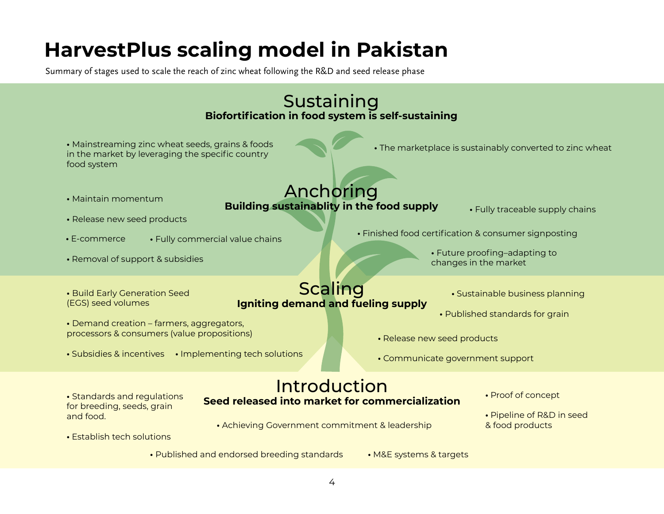## **HarvestPlus scaling model in Pakistan**

Summary of stages used to scale the reach of zinc wheat following the R&D and seed release phase

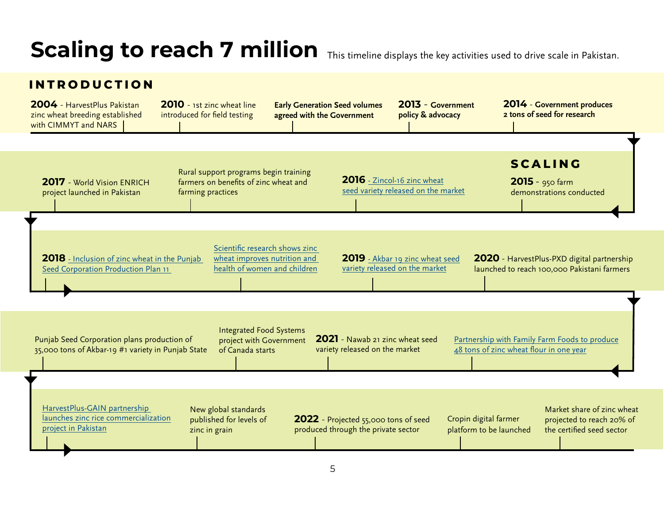# Scaling to reach 7 million This timeline displays the key activities used to drive scale in Pakistan.

### **INTRODUCTION**

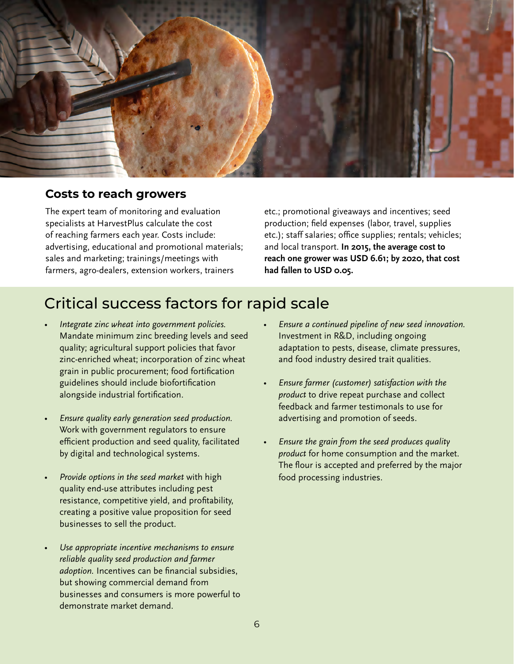

### **Costs to reach growers**

The expert team of monitoring and evaluation specialists at HarvestPlus calculate the cost of reaching farmers each year. Costs include: advertising, educational and promotional materials; sales and marketing; trainings/meetings with farmers, agro-dealers, extension workers, trainers

etc.; promotional giveaways and incentives; seed production; field expenses (labor, travel, supplies etc.); staff salaries; office supplies; rentals; vehicles; and local transport. **In 2015, the average cost to reach one grower was USD 6.61; by 2020, that cost had fallen to USD 0.05.** 

### Critical success factors for rapid scale

- *• Integrate zinc wheat into government policies.* Mandate minimum zinc breeding levels and seed quality; agricultural support policies that favor zinc-enriched wheat; incorporation of zinc wheat grain in public procurement; food fortification guidelines should include biofortification alongside industrial fortification.
- *• Ensure quality early generation seed production.*  Work with government regulators to ensure efficient production and seed quality, facilitated by digital and technological systems.
- *• Provide options in the seed market* with high quality end-use attributes including pest resistance, competitive yield, and profitability, creating a positive value proposition for seed businesses to sell the product.
- *• Use appropriate incentive mechanisms to ensure reliable quality seed production and farmer adoption.* Incentives can be financial subsidies, but showing commercial demand from businesses and consumers is more powerful to demonstrate market demand.
- *• Ensure a continued pipeline of new seed innovation.* Investment in R&D, including ongoing adaptation to pests, disease, climate pressures, and food industry desired trait qualities.
- *• Ensure farmer (customer) satisfaction with the product* to drive repeat purchase and collect feedback and farmer testimonals to use for advertising and promotion of seeds.
- *• Ensure the grain from the seed produces quality product* for home consumption and the market. The flour is accepted and preferred by the major food processing industries.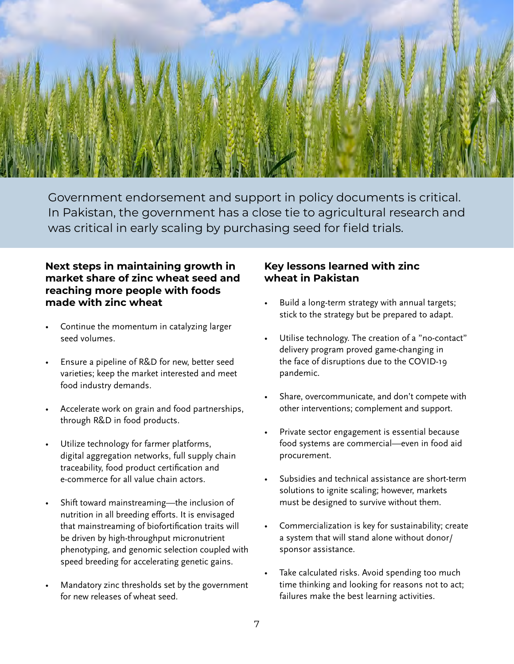

Government endorsement and support in policy documents is critical. In Pakistan, the government has a close tie to agricultural research and was critical in early scaling by purchasing seed for field trials.

### **Next steps in maintaining growth in market share of zinc wheat seed and reaching more people with foods made with zinc wheat**

- Continue the momentum in catalyzing larger seed volumes.
- Ensure a pipeline of R&D for new, better seed varieties; keep the market interested and meet food industry demands.
- Accelerate work on grain and food partnerships, through R&D in food products.
- Utilize technology for farmer platforms, digital aggregation networks, full supply chain traceability, food product certification and e-commerce for all value chain actors.
- Shift toward mainstreaming—the inclusion of nutrition in all breeding efforts. It is envisaged that mainstreaming of biofortification traits will be driven by high-throughput micronutrient phenotyping, and genomic selection coupled with speed breeding for accelerating genetic gains.
- Mandatory zinc thresholds set by the government for new releases of wheat seed.

### **Key lessons learned with zinc wheat in Pakistan**

- Build a long-term strategy with annual targets; stick to the strategy but be prepared to adapt.
- Utilise technology. The creation of a "no-contact" delivery program proved game-changing in the face of disruptions due to the COVID-19 pandemic.
- Share, overcommunicate, and don't compete with other interventions; complement and support.
- Private sector engagement is essential because food systems are commercial—even in food aid procurement.
- Subsidies and technical assistance are short-term solutions to ignite scaling; however, markets must be designed to survive without them.
- Commercialization is key for sustainability; create a system that will stand alone without donor/ sponsor assistance.
- Take calculated risks. Avoid spending too much time thinking and looking for reasons not to act; failures make the best learning activities.